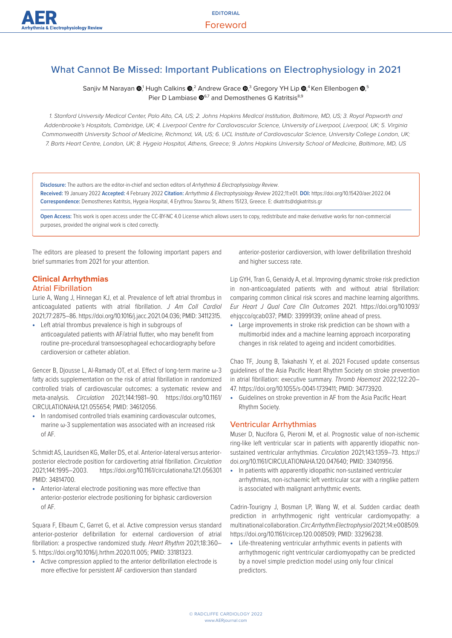# What Cannot Be Missed: Important Publications on Electrophysiology in 2021

# Sanjiv M Narayan @,<sup>1</sup> Hugh Calkins @,<sup>2</sup> Andrew Grace @,<sup>3</sup> Gregory YH Lip @,<sup>4</sup> Ken Ellenbogen @,<sup>5</sup> Pier D Lambiase  $\mathbf{0}^{6,7}$  and Demosthenes G Katritsis<sup>8,9</sup>

*1. Stanford University Medical Center, Palo Alto, CA, US; 2. Johns Hopkins Medical Institution, Baltimore, MD, US; 3. Royal Papworth and Addenbrooke's Hospitals, Cambridge, UK; 4. Liverpool Centre for Cardiovascular Science, University of Liverpool, Liverpool, UK; 5. Virginia Commonwealth University School of Medicine, Richmond, VA, US; 6. UCL Institute of Cardiovascular Science, University College London, UK; 7. Barts Heart Centre, London, UK; 8. Hygeia Hospital, Athens, Greece; 9. Johns Hopkins University School of Medicine, Baltimore, MD, US*

**Disclosure:** The authors are the editor-in-chief and section editors of *Arrhythmia & Electrophysiology Review*. **Received:** 19 January 2022 **Accepted:** 4 February 2022 **Citation:** *Arrhythmia & Electrophysiology Review* 2022;11:e01. **DOI:** https://doi.org/10.15420/aer.2022.04 **Correspondence:** Demosthenes Katritsis, Hygeia Hospital, 4 Erythrou Stavrou St, Athens 15123, Greece. E: dkatrits@dgkatritsis.gr

**Open Access:** This work is open access under the [CC-BY-NC 4.0 License](https://creativecommons.org/licenses/by-nc/4.0/legalcode) which allows users to copy, redistribute and make derivative works for non-commercial purposes, provided the original work is cited correctly.

The editors are pleased to present the following important papers and brief summaries from 2021 for your attention.

## **Clinical Arrhythmias** Atrial Fibrillation

Lurie A, Wang J, Hinnegan KJ, et al. Prevalence of left atrial thrombus in anticoagulated patients with atrial fibrillation. *J Am Coll Cardiol* 2021;77:2875–86. https://doi.org/10.1016/j.jacc.2021.04.036; PMID: 34112315.

**•** Left atrial thrombus prevalence is high in subgroups of anticoagulated patients with AF/atrial flutter, who may benefit from routine pre-procedural transoesophageal echocardiography before cardioversion or catheter ablation.

Gencer B, Djousse L, Al-Ramady OT, et al. Effect of long-term marine ω-3 fatty acids supplementation on the risk of atrial fibrillation in randomized controlled trials of cardiovascular outcomes: a systematic review and meta-analysis. *Circulation* 2021;144:1981–90. https://doi.org/10.1161/ CIRCULATIONAHA.121.055654; PMID: 34612056.

**•** In randomised controlled trials examining cardiovascular outcomes, marine ω-3 supplementation was associated with an increased risk of AF.

Schmidt AS, Lauridsen KG, Møller DS, et al. Anterior-lateral versus anteriorposterior electrode position for cardioverting atrial fibrillation. *Circulation* 2021;144:1995–2003. https://doi.org/10.1161/circulationaha.121.056301 PMID: 34814700.

**•** Anterior-lateral electrode positioning was more effective than anterior-posterior electrode positioning for biphasic cardioversion of AF.

Squara F, Elbaum C, Garret G, et al. Active compression versus standard anterior-posterior defibrillation for external cardioversion of atrial fibrillation: a prospective randomized study. *Heart Rhythm* 2021;18:360– 5. https://doi.org/10.1016/j.hrthm.2020.11.005; PMID: 33181323.

**•** Active compression applied to the anterior defibrillation electrode is more effective for persistent AF cardioversion than standard

anterior-posterior cardioversion, with lower defibrillation threshold and higher success rate.

Lip GYH, Tran G, Genaidy A, et al. Improving dynamic stroke risk prediction in non-anticoagulated patients with and without atrial fibrillation: comparing common clinical risk scores and machine learning algorithms. *Eur Heart J Qual Care Clin Outcomes* 2021. https://doi.org/10.1093/ ehjqcco/qcab037; PMID: 33999139; online ahead of press.

**•** Large improvements in stroke risk prediction can be shown with a multimorbid index and a machine learning approach incorporating changes in risk related to ageing and incident comorbidities.

Chao TF, Joung B, Takahashi Y, et al. 2021 Focused update consensus guidelines of the Asia Pacific Heart Rhythm Society on stroke prevention in atrial fibrillation: executive summary. *Thromb Haemost* 2022;122:20– 47. https://doi.org/10.1055/s-0041-1739411; PMID: 34773920.

**•** Guidelines on stroke prevention in AF from the Asia Pacific Heart Rhythm Society.

# Ventricular Arrhythmias

Muser D, Nucifora G, Pieroni M, et al. Prognostic value of non-ischemic ring-like left ventricular scar in patients with apparently idiopathic nonsustained ventricular arrhythmias. *Circulation* 2021;143:1359–73. https:// doi.org/10.1161/CIRCULATIONAHA.120.047640; PMID: 33401956.

**•** In patients with apparently idiopathic non-sustained ventricular arrhythmias, non-ischaemic left ventricular scar with a ringlike pattern is associated with malignant arrhythmic events.

Cadrin-Tourigny J, Bosman LP, Wang W, et al. Sudden cardiac death prediction in arrhythmogenic right ventricular cardiomyopathy: a multinational collaboration. *Circ Arrhythm Electrophysiol* 2021;14:e008509. https://doi.org/10.1161/circep.120.008509; PMID: 33296238.

**•** Life-threatening ventricular arrhythmic events in patients with arrhythmogenic right ventricular cardiomyopathy can be predicted by a novel simple prediction model using only four clinical predictors.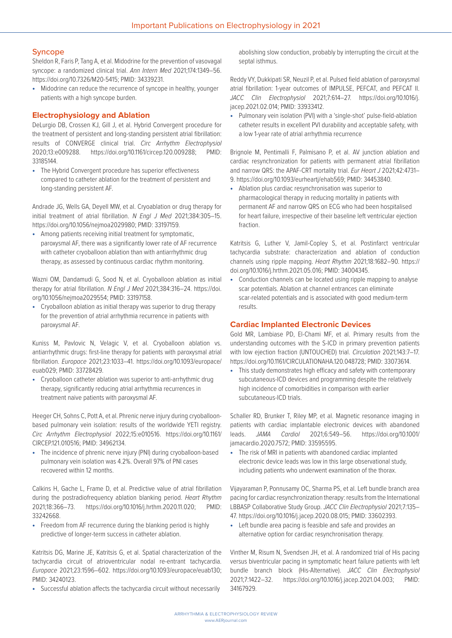#### Syncope

Sheldon R, Faris P, Tang A, et al. Midodrine for the prevention of vasovagal syncope: a randomized clinical trial. *Ann Intern Med* 2021;174:1349–56. https://doi.org/10.7326/M20-5415; PMID: 34339231.

**•** Midodrine can reduce the recurrence of syncope in healthy, younger patients with a high syncope burden.

## **Electrophysiology and Ablation**

DeLurgio DB, Crossen KJ, Gill J, et al. Hybrid Convergent procedure for the treatment of persistent and long-standing persistent atrial fibrillation: results of CONVERGE clinical trial. *Circ Arrhythm Electrophysiol* 2020;13:e009288. https://doi.org/10.1161/circep.120.009288; PMID: 33185144.

**•** The Hybrid Convergent procedure has superior effectiveness compared to catheter ablation for the treatment of persistent and long-standing persistent AF.

Andrade JG, Wells GA, Deyell MW, et al. Cryoablation or drug therapy for initial treatment of atrial fibrillation. *N Engl J Med* 2021;384:305–15. https://doi.org/10.1056/nejmoa2029980; PMID: 33197159.

**•** Among patients receiving initial treatment for symptomatic, paroxysmal AF, there was a significantly lower rate of AF recurrence with catheter cryoballoon ablation than with antiarrhythmic drug therapy, as assessed by continuous cardiac rhythm monitoring.

Wazni OM, Dandamudi G, Sood N, et al. Cryoballoon ablation as initial therapy for atrial fibrillation. *N Engl J Med* 2021;384:316–24. https://doi. org/10.1056/nejmoa2029554; PMID: 33197158.

**•** Cryoballoon ablation as initial therapy was superior to drug therapy for the prevention of atrial arrhythmia recurrence in patients with paroxysmal AF.

Kuniss M, Pavlovic N, Velagic V, et al. Cryoballoon ablation vs. antiarrhythmic drugs: first-line therapy for patients with paroxysmal atrial fibrillation. *Europace* 2021;23:1033–41. https://doi.org/10.1093/europace/ euab029; PMID: 33728429.

**•** Cryoballoon catheter ablation was superior to anti-arrhythmic drug therapy, significantly reducing atrial arrhythmia recurrences in treatment naive patients with paroxysmal AF.

Heeger CH, Sohns C, Pott A, et al. Phrenic nerve injury during cryoballoonbased pulmonary vein isolation: results of the worldwide YETI registry. *Circ Arrhythm Electrophysiol* 2022;15:e010516. https://doi.org/10.1161/ CIRCEP.121.010516; PMID: 34962134.

**•** The incidence of phrenic nerve injury (PNI) during cryoballoon-based pulmonary vein isolation was 4.2%. Overall 97% of PNI cases recovered within 12 months.

Calkins H, Gache L, Frame D, et al. Predictive value of atrial fibrillation during the postradiofrequency ablation blanking period. *Heart Rhythm* 2021;18:366–73. https://doi.org/10.1016/j.hrthm.2020.11.020; PMID: 33242668.

**•** Freedom from AF recurrence during the blanking period is highly predictive of longer-term success in catheter ablation.

Katritsis DG, Marine JE, Katritsis G, et al. Spatial characterization of the tachycardia circuit of atrioventricular nodal re-entrant tachycardia. *Europace* 2021;23:1596–602. https://doi.org/10.1093/europace/euab130; PMID: 34240123.

**•** Successful ablation affects the tachycardia circuit without necessarily

abolishing slow conduction, probably by interrupting the circuit at the septal isthmus.

Reddy VY, Dukkipati SR, Neuzil P, et al. Pulsed field ablation of paroxysmal atrial fibrillation: 1-year outcomes of IMPULSE, PEFCAT, and PEFCAT II. *JACC Clin Electrophysiol* 2021;7:614–27. https://doi.org/10.1016/j. jacep.2021.02.014; PMID: 33933412.

**•** Pulmonary vein isolation (PVI) with a 'single-shot' pulse-field-ablation catheter results in excellent PVI durability and acceptable safety, with a low 1-year rate of atrial arrhythmia recurrence

Brignole M, Pentimalli F, Palmisano P, et al. AV junction ablation and cardiac resynchronization for patients with permanent atrial fibrillation and narrow QRS: the APAF-CRT mortality trial. *Eur Heart J* 2021;42:4731– 9. https://doi.org/10.1093/eurheartj/ehab569; PMID: 34453840.

**•** Ablation plus cardiac resynchronisation was superior to pharmacological therapy in reducing mortality in patients with permanent AF and narrow QRS on ECG who had been hospitalised for heart failure, irrespective of their baseline left ventricular ejection fraction.

Katritsis G, Luther V, Jamil-Copley S, et al. Postinfarct ventricular tachycardia substrate: characterization and ablation of conduction channels using ripple mapping. *Heart Rhythm* 2021;18:1682–90. https:// doi.org/10.1016/j.hrthm.2021.05.016; PMID: 34004345.

**•** Conduction channels can be located using ripple mapping to analyse scar potentials. Ablation at channel entrances can eliminate scar-related potentials and is associated with good medium-term results.

## **Cardiac Implanted Electronic Devices**

Gold MR, Lambiase PD, El-Chami MF, et al. Primary results from the understanding outcomes with the S-ICD in primary prevention patients with low ejection fraction (UNTOUCHED) trial. *Circulation* 2021;143:7–17. https://doi.org/10.1161/CIRCULATIONAHA.120.048728; PMID: 33073614.

**•** This study demonstrates high efficacy and safety with contemporary subcutaneous-ICD devices and programming despite the relatively high incidence of comorbidities in comparison with earlier subcutaneous-ICD trials.

Schaller RD, Brunker T, Riley MP, et al. Magnetic resonance imaging in patients with cardiac implantable electronic devices with abandoned leads. *JAMA Cardiol* 2021;6:549–56. https://doi.org/10.1001/ jamacardio.2020.7572; PMID: 33595595.

**•** The risk of MRI in patients with abandoned cardiac implanted electronic device leads was low in this large observational study, including patients who underwent examination of the thorax.

Vijayaraman P, Ponnusamy OC, Sharma PS, et al. Left bundle branch area pacing for cardiac resynchronization therapy: results from the International LBBASP Collaborative Study Group. *JACC Clin Electrophysiol* 2021;7:135– 47. https://doi.org/10.1016/j.jacep.2020.08.015; PMID: 33602393.

**•** Left bundle area pacing is feasible and safe and provides an alternative option for cardiac resynchronisation therapy.

Vinther M, Risum N, Svendsen JH, et al. A randomized trial of His pacing versus biventricular pacing in symptomatic heart failure patients with left bundle branch block (His-Alternative). *JACC Clin Electrophysiol* 2021;7:1422–32. https://doi.org/10.1016/j.jacep.2021.04.003; PMID: 34167929.